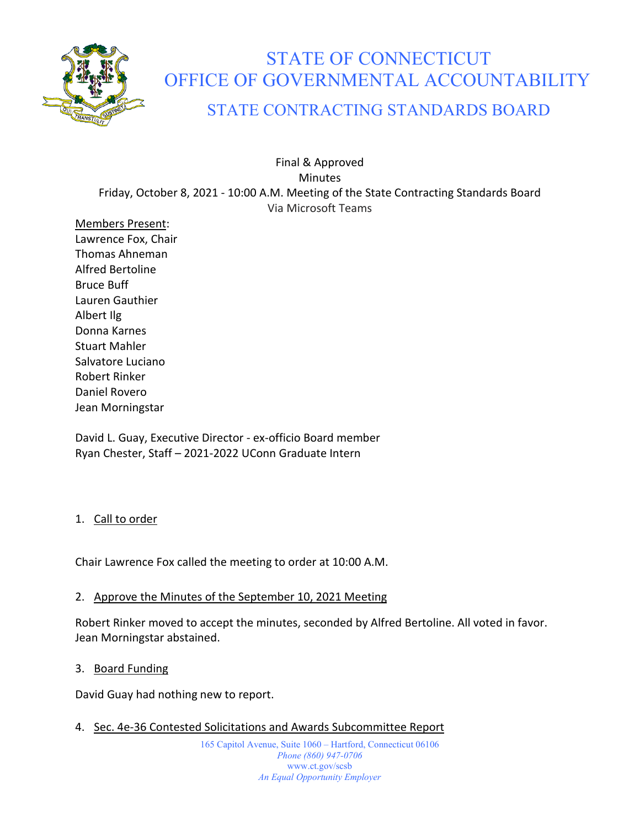

# STATE OF CONNECTICUT OFFICE OF GOVERNMENTAL ACCOUNTABILITY

# STATE CONTRACTING STANDARDS BOARD

Final & Approved Minutes Friday, October 8, 2021 - 10:00 A.M. Meeting of the State Contracting Standards Board Via Microsoft Teams

Members Present: Lawrence Fox, Chair Thomas Ahneman Alfred Bertoline Bruce Buff Lauren Gauthier Albert Ilg Donna Karnes Stuart Mahler Salvatore Luciano Robert Rinker Daniel Rovero Jean Morningstar

David L. Guay, Executive Director - ex-officio Board member Ryan Chester, Staff – 2021-2022 UConn Graduate Intern

# 1. Call to order

Chair Lawrence Fox called the meeting to order at 10:00 A.M.

# 2. Approve the Minutes of the September 10, 2021 Meeting

Robert Rinker moved to accept the minutes, seconded by Alfred Bertoline. All voted in favor. Jean Morningstar abstained.

#### 3. Board Funding

David Guay had nothing new to report.

4. Sec. 4e-36 Contested Solicitations and Awards Subcommittee Report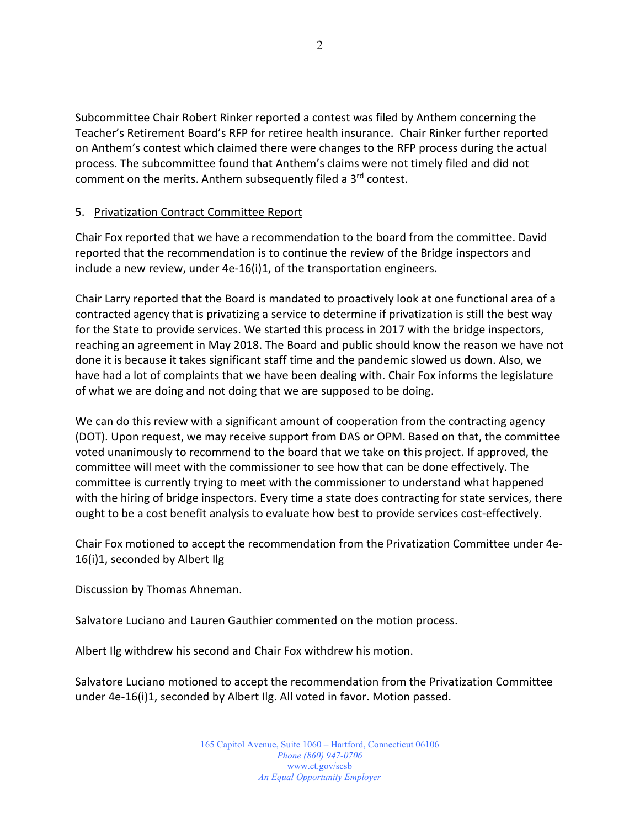Subcommittee Chair Robert Rinker reported a contest was filed by Anthem concerning the Teacher's Retirement Board's RFP for retiree health insurance. Chair Rinker further reported on Anthem's contest which claimed there were changes to the RFP process during the actual process. The subcommittee found that Anthem's claims were not timely filed and did not comment on the merits. Anthem subsequently filed a 3<sup>rd</sup> contest.

# 5. Privatization Contract Committee Report

Chair Fox reported that we have a recommendation to the board from the committee. David reported that the recommendation is to continue the review of the Bridge inspectors and include a new review, under 4e-16(i)1, of the transportation engineers.

Chair Larry reported that the Board is mandated to proactively look at one functional area of a contracted agency that is privatizing a service to determine if privatization is still the best way for the State to provide services. We started this process in 2017 with the bridge inspectors, reaching an agreement in May 2018. The Board and public should know the reason we have not done it is because it takes significant staff time and the pandemic slowed us down. Also, we have had a lot of complaints that we have been dealing with. Chair Fox informs the legislature of what we are doing and not doing that we are supposed to be doing.

We can do this review with a significant amount of cooperation from the contracting agency (DOT). Upon request, we may receive support from DAS or OPM. Based on that, the committee voted unanimously to recommend to the board that we take on this project. If approved, the committee will meet with the commissioner to see how that can be done effectively. The committee is currently trying to meet with the commissioner to understand what happened with the hiring of bridge inspectors. Every time a state does contracting for state services, there ought to be a cost benefit analysis to evaluate how best to provide services cost-effectively.

Chair Fox motioned to accept the recommendation from the Privatization Committee under 4e-16(i)1, seconded by Albert Ilg

Discussion by Thomas Ahneman.

Salvatore Luciano and Lauren Gauthier commented on the motion process.

Albert Ilg withdrew his second and Chair Fox withdrew his motion.

Salvatore Luciano motioned to accept the recommendation from the Privatization Committee under 4e-16(i)1, seconded by Albert Ilg. All voted in favor. Motion passed.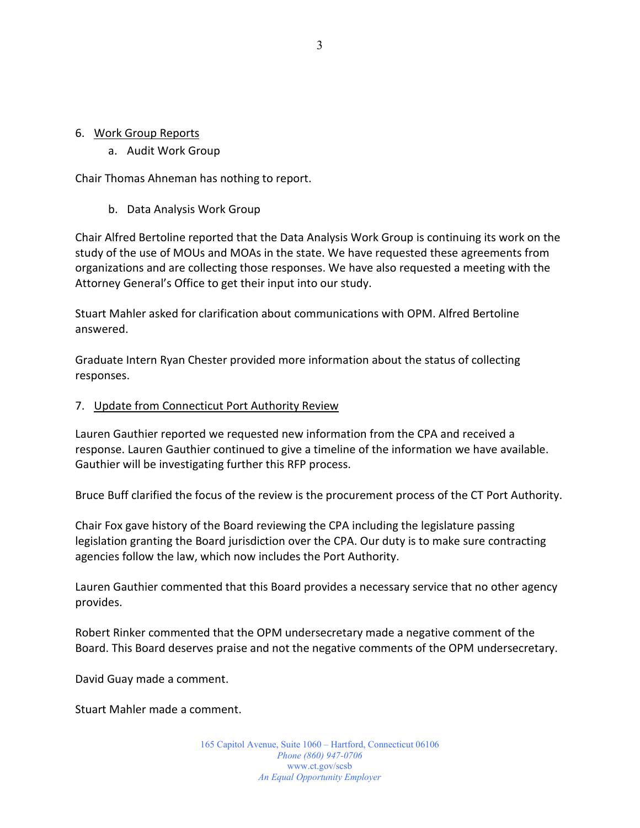#### 6. Work Group Reports

#### a. Audit Work Group

Chair Thomas Ahneman has nothing to report.

b. Data Analysis Work Group

Chair Alfred Bertoline reported that the Data Analysis Work Group is continuing its work on the study of the use of MOUs and MOAs in the state. We have requested these agreements from organizations and are collecting those responses. We have also requested a meeting with the Attorney General's Office to get their input into our study.

Stuart Mahler asked for clarification about communications with OPM. Alfred Bertoline answered.

Graduate Intern Ryan Chester provided more information about the status of collecting responses.

#### 7. Update from Connecticut Port Authority Review

Lauren Gauthier reported we requested new information from the CPA and received a response. Lauren Gauthier continued to give a timeline of the information we have available. Gauthier will be investigating further this RFP process.

Bruce Buff clarified the focus of the review is the procurement process of the CT Port Authority.

Chair Fox gave history of the Board reviewing the CPA including the legislature passing legislation granting the Board jurisdiction over the CPA. Our duty is to make sure contracting agencies follow the law, which now includes the Port Authority.

Lauren Gauthier commented that this Board provides a necessary service that no other agency provides.

Robert Rinker commented that the OPM undersecretary made a negative comment of the Board. This Board deserves praise and not the negative comments of the OPM undersecretary.

David Guay made a comment.

Stuart Mahler made a comment.

165 Capitol Avenue, Suite 1060 – Hartford, Connecticut 06106 *Phone (860) 947-0706*  www.ct.gov/scsb *An Equal Opportunity Employer*